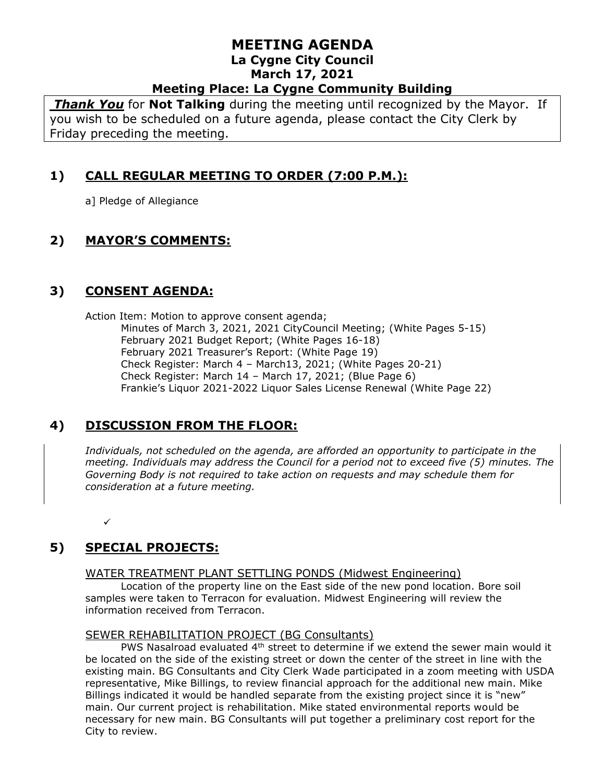*Thank You* for **Not Talking** during the meeting until recognized by the Mayor. If you wish to be scheduled on a future agenda, please contact the City Clerk by Friday preceding the meeting.

# **1) CALL REGULAR MEETING TO ORDER (7:00 P.M.):**

a] Pledge of Allegiance

# **2) MAYOR'S COMMENTS:**

## **3) CONSENT AGENDA:**

Action Item: Motion to approve consent agenda; Minutes of March 3, 2021, 2021 CityCouncil Meeting; (White Pages 5-15) February 2021 Budget Report; (White Pages 16-18) February 2021 Treasurer's Report: (White Page 19) Check Register: March 4 – March13, 2021; (White Pages 20-21) Check Register: March 14 – March 17, 2021; (Blue Page 6) Frankie's Liquor 2021-2022 Liquor Sales License Renewal (White Page 22)

## **4) DISCUSSION FROM THE FLOOR:**

*Individuals, not scheduled on the agenda, are afforded an opportunity to participate in the meeting. Individuals may address the Council for a period not to exceed five (5) minutes. The Governing Body is not required to take action on requests and may schedule them for consideration at a future meeting.* 

✓

# **5) SPECIAL PROJECTS:**

#### WATER TREATMENT PLANT SETTLING PONDS (Midwest Engineering)

Location of the property line on the East side of the new pond location. Bore soil samples were taken to Terracon for evaluation. Midwest Engineering will review the information received from Terracon.

#### SEWER REHABILITATION PROJECT (BG Consultants)

PWS Nasalroad evaluated  $4<sup>th</sup>$  street to determine if we extend the sewer main would it be located on the side of the existing street or down the center of the street in line with the existing main. BG Consultants and City Clerk Wade participated in a zoom meeting with USDA representative, Mike Billings, to review financial approach for the additional new main. Mike Billings indicated it would be handled separate from the existing project since it is "new" main. Our current project is rehabilitation. Mike stated environmental reports would be necessary for new main. BG Consultants will put together a preliminary cost report for the City to review.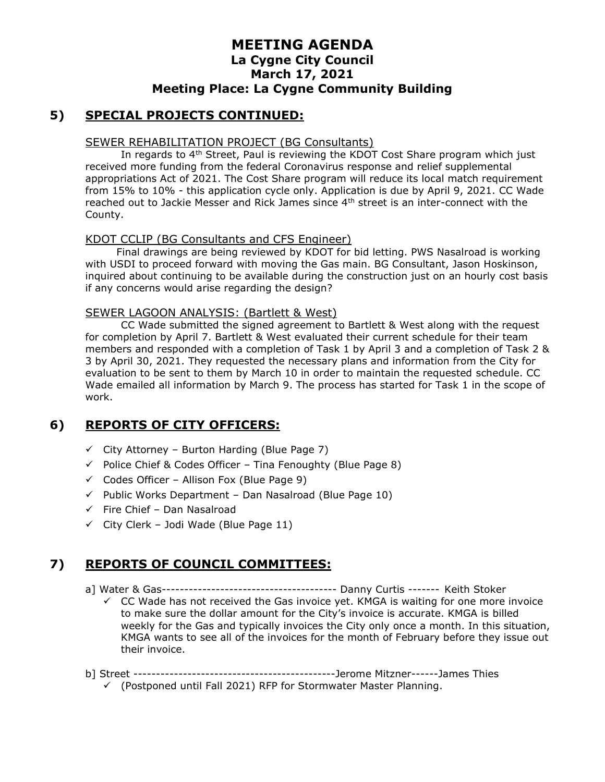### **5) SPECIAL PROJECTS CONTINUED:**

#### SEWER REHABILITATION PROJECT (BG Consultants)

In regards to  $4<sup>th</sup>$  Street, Paul is reviewing the KDOT Cost Share program which just received more funding from the federal Coronavirus response and relief supplemental appropriations Act of 2021. The Cost Share program will reduce its local match requirement from 15% to 10% - this application cycle only. Application is due by April 9, 2021. CC Wade reached out to Jackie Messer and Rick James since 4th street is an inter-connect with the County.

#### KDOT CCLIP (BG Consultants and CFS Engineer)

Final drawings are being reviewed by KDOT for bid letting. PWS Nasalroad is working with USDI to proceed forward with moving the Gas main. BG Consultant, Jason Hoskinson, inquired about continuing to be available during the construction just on an hourly cost basis if any concerns would arise regarding the design?

#### SEWER LAGOON ANALYSIS: (Bartlett & West)

CC Wade submitted the signed agreement to Bartlett & West along with the request for completion by April 7. Bartlett & West evaluated their current schedule for their team members and responded with a completion of Task 1 by April 3 and a completion of Task 2 & 3 by April 30, 2021. They requested the necessary plans and information from the City for evaluation to be sent to them by March 10 in order to maintain the requested schedule. CC Wade emailed all information by March 9. The process has started for Task 1 in the scope of work.

## **6) REPORTS OF CITY OFFICERS:**

- $\checkmark$  City Attorney Burton Harding (Blue Page 7)
- $\checkmark$  Police Chief & Codes Officer Tina Fenoughty (Blue Page 8)
- $\checkmark$  Codes Officer Allison Fox (Blue Page 9)
- $\checkmark$  Public Works Department Dan Nasalroad (Blue Page 10)
- $\checkmark$  Fire Chief Dan Nasalroad
- $\checkmark$  City Clerk Jodi Wade (Blue Page 11)

## **7) REPORTS OF COUNCIL COMMITTEES:**

- a] Water & Gas--------------------------------------- Danny Curtis ------- Keith Stoker
	- $\checkmark$  CC Wade has not received the Gas invoice yet. KMGA is waiting for one more invoice to make sure the dollar amount for the City's invoice is accurate. KMGA is billed weekly for the Gas and typically invoices the City only once a month. In this situation, KMGA wants to see all of the invoices for the month of February before they issue out their invoice.
- b] Street ---------------------------------------------Jerome Mitzner------James Thies
	- $\checkmark$  (Postponed until Fall 2021) RFP for Stormwater Master Planning.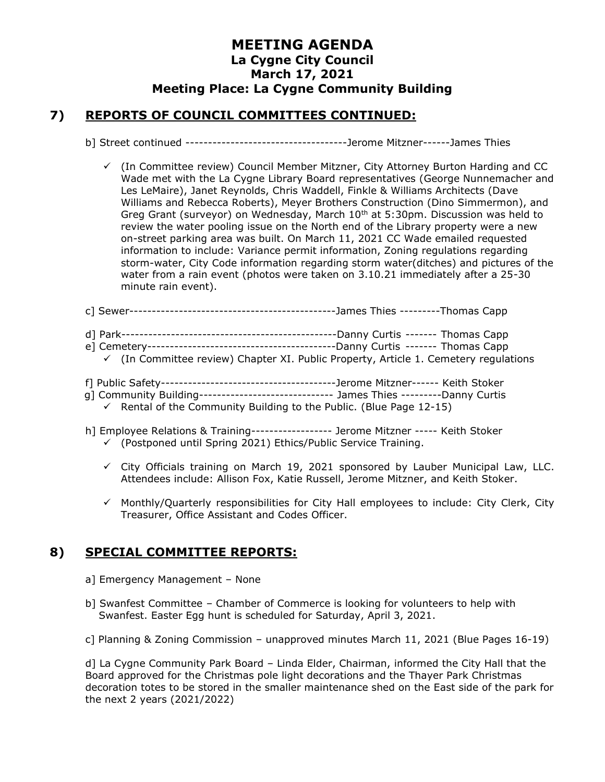#### **7) REPORTS OF COUNCIL COMMITTEES CONTINUED:**

- b] Street continued ------------------------------------Jerome Mitzner------James Thies
	- $\checkmark$  (In Committee review) Council Member Mitzner, City Attorney Burton Harding and CC Wade met with the La Cygne Library Board representatives (George Nunnemacher and Les LeMaire), Janet Reynolds, Chris Waddell, Finkle & Williams Architects (Dave Williams and Rebecca Roberts), Meyer Brothers Construction (Dino Simmermon), and Greg Grant (surveyor) on Wednesday, March  $10<sup>th</sup>$  at 5:30pm. Discussion was held to review the water pooling issue on the North end of the Library property were a new on-street parking area was built. On March 11, 2021 CC Wade emailed requested information to include: Variance permit information, Zoning regulations regarding storm-water, City Code information regarding storm water(ditches) and pictures of the water from a rain event (photos were taken on 3.10.21 immediately after a 25-30 minute rain event).
- c] Sewer----------------------------------------------James Thies ---------Thomas Capp d] Park------------------------------------------------Danny Curtis ------- Thomas Capp e] Cemetery------------------------------------------Danny Curtis ------- Thomas Capp
- $\checkmark$  (In Committee review) Chapter XI. Public Property, Article 1. Cemetery regulations
- f] Public Safety---------------------------------------Jerome Mitzner------ Keith Stoker
- g] Community Building------------------------------ James Thies ---------Danny Curtis
	- $\checkmark$  Rental of the Community Building to the Public. (Blue Page 12-15)
- h] Employee Relations & Training------------------ Jerome Mitzner ----- Keith Stoker ✓ (Postponed until Spring 2021) Ethics/Public Service Training.
	- $\checkmark$  City Officials training on March 19, 2021 sponsored by Lauber Municipal Law, LLC. Attendees include: Allison Fox, Katie Russell, Jerome Mitzner, and Keith Stoker.
	- $\checkmark$  Monthly/Quarterly responsibilities for City Hall employees to include: City Clerk, City Treasurer, Office Assistant and Codes Officer.

## **8) SPECIAL COMMITTEE REPORTS:**

- a] Emergency Management None
- b] Swanfest Committee Chamber of Commerce is looking for volunteers to help with Swanfest. Easter Egg hunt is scheduled for Saturday, April 3, 2021.
- c] Planning & Zoning Commission unapproved minutes March 11, 2021 (Blue Pages 16-19)

d] La Cygne Community Park Board – Linda Elder, Chairman, informed the City Hall that the Board approved for the Christmas pole light decorations and the Thayer Park Christmas decoration totes to be stored in the smaller maintenance shed on the East side of the park for the next 2 years (2021/2022)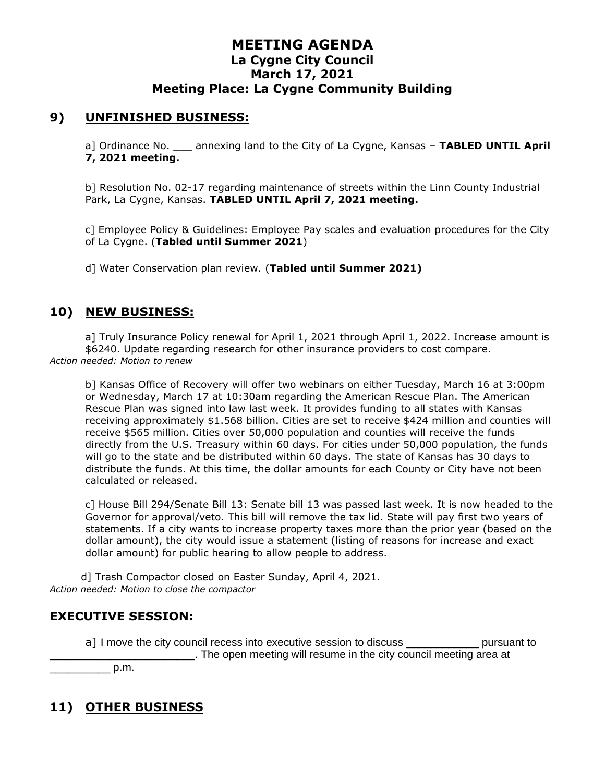### **9) UNFINISHED BUSINESS:**

a] Ordinance No. \_\_\_ annexing land to the City of La Cygne, Kansas – **TABLED UNTIL April 7, 2021 meeting.**

b] Resolution No. 02-17 regarding maintenance of streets within the Linn County Industrial Park, La Cygne, Kansas. **TABLED UNTIL April 7, 2021 meeting.**

c] Employee Policy & Guidelines: Employee Pay scales and evaluation procedures for the City of La Cygne. (**Tabled until Summer 2021**)

d] Water Conservation plan review. (**Tabled until Summer 2021)**

#### **10) NEW BUSINESS:**

a] Truly Insurance Policy renewal for April 1, 2021 through April 1, 2022. Increase amount is \$6240. Update regarding research for other insurance providers to cost compare. *Action needed: Motion to renew*

b] Kansas Office of Recovery will offer two webinars on either Tuesday, March 16 at 3:00pm or Wednesday, March 17 at 10:30am regarding the American Rescue Plan. The American Rescue Plan was signed into law last week. It provides funding to all states with Kansas receiving approximately \$1.568 billion. Cities are set to receive \$424 million and counties will receive \$565 million. Cities over 50,000 population and counties will receive the funds directly from the U.S. Treasury within 60 days. For cities under 50,000 population, the funds will go to the state and be distributed within 60 days. The state of Kansas has 30 days to distribute the funds. At this time, the dollar amounts for each County or City have not been calculated or released.

c] House Bill 294/Senate Bill 13: Senate bill 13 was passed last week. It is now headed to the Governor for approval/veto. This bill will remove the tax lid. State will pay first two years of statements. If a city wants to increase property taxes more than the prior year (based on the dollar amount), the city would issue a statement (listing of reasons for increase and exact dollar amount) for public hearing to allow people to address.

d] Trash Compactor closed on Easter Sunday, April 4, 2021. *Action needed: Motion to close the compactor*

#### **EXECUTIVE SESSION:**

a] I move the city council recess into executive session to discuss example pursuant to \_\_\_\_\_\_\_\_\_\_\_\_\_\_\_\_\_\_\_\_\_\_\_\_. The open meeting will resume in the city council meeting area at  $p.m.$ 

## **11) OTHER BUSINESS**